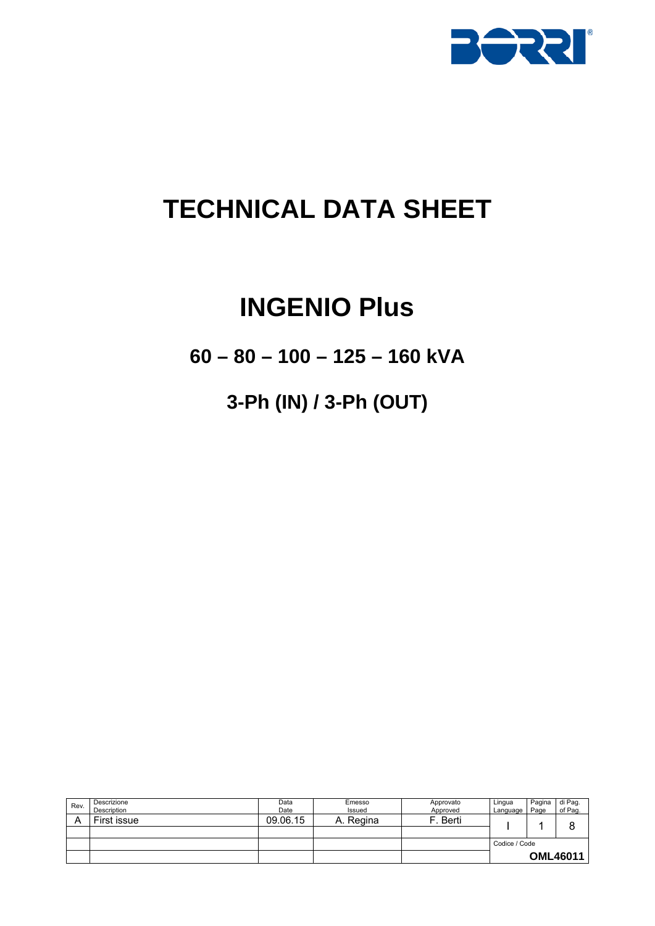

# **TECHNICAL DATA SHEET**

## **INGENIO Plus**

**60 – 80 – 100 – 125 – 160 kVA** 

## **3-Ph (IN) / 3-Ph (OUT)**

| Rev. | Descrizione<br>Description | Data<br>Date | Emesso<br>Issued | Approvato<br>Approved | Lingua<br>Language | Pagina<br>Page | di Pag.<br>of Pag. |
|------|----------------------------|--------------|------------------|-----------------------|--------------------|----------------|--------------------|
|      | First issue                | 09.06.15     | Regina<br>A.     | Berti                 |                    |                | c                  |
|      |                            |              |                  |                       |                    |                |                    |
|      |                            |              |                  |                       | Codice / Code      |                |                    |
|      |                            |              |                  |                       |                    |                | <b>OML46011</b>    |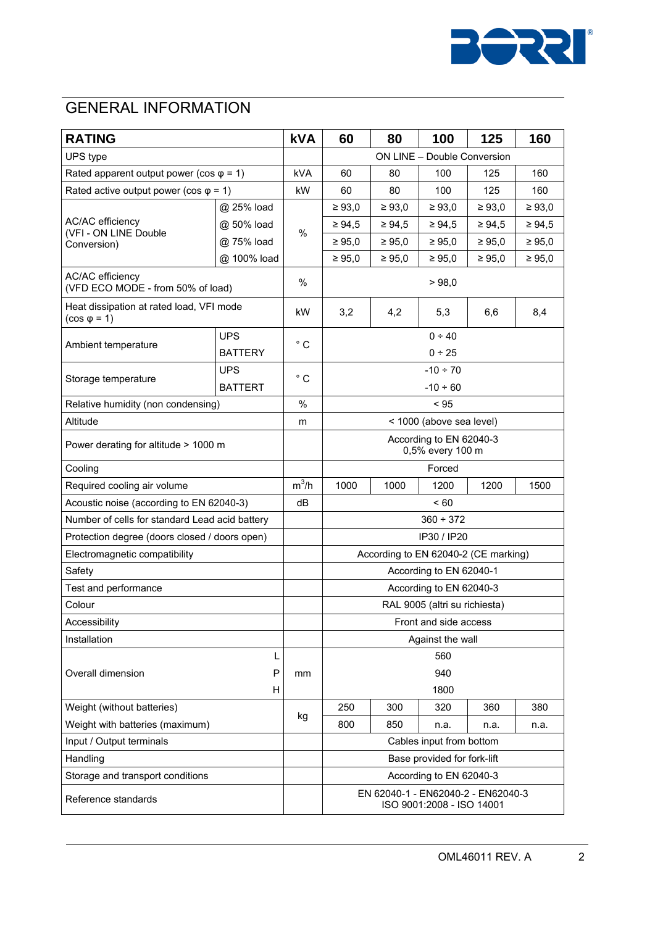

### GENERAL INFORMATION

| <b>RATING</b>                                                   |                | <b>kVA</b>   | 60                                                              | 80          | 100           | 125         | 160         |
|-----------------------------------------------------------------|----------------|--------------|-----------------------------------------------------------------|-------------|---------------|-------------|-------------|
| UPS type                                                        |                |              | ON LINE - Double Conversion                                     |             |               |             |             |
| Rated apparent output power (cos $\varphi$ = 1)                 |                | kVA          | 60                                                              | 80          | 100           | 125         | 160         |
| Rated active output power (cos $\varphi$ = 1)                   |                | kW           | 60                                                              | 80          | 100           | 125         | 160         |
|                                                                 | @ 25% load     |              | $\geq 93,0$                                                     | $\geq 93,0$ | $\geq 93,0$   | $\geq 93,0$ | $\geq 93,0$ |
| <b>AC/AC</b> efficiency                                         | @ 50% load     |              | $\geq 94.5$                                                     | $\geq 94,5$ | $\geq 94.5$   | $\geq 94.5$ | ≥ 94,5      |
| (VFI - ON LINE Double<br>Conversion)                            | @ 75% load     | %            | ≥ 95,0                                                          | ≥ 95,0      | $\geq 95,0$   | $\geq 95,0$ | $\geq 95,0$ |
|                                                                 | @ 100% load    |              | $\geq 95,0$                                                     | $\geq 95,0$ | $\geq 95,0$   | $\geq 95,0$ | $\geq 95,0$ |
| <b>AC/AC efficiency</b><br>(VFD ECO MODE - from 50% of load)    |                | %            | > 98,0                                                          |             |               |             |             |
| Heat dissipation at rated load, VFI mode<br>$(cos \varphi = 1)$ |                | kW           | 3,2                                                             | 4,2         | 5,3           | 6,6         | 8,4         |
|                                                                 | <b>UPS</b>     |              |                                                                 |             | $0 - 40$      |             |             |
| Ambient temperature                                             | <b>BATTERY</b> | $^{\circ}$ C |                                                                 |             | $0 + 25$      |             |             |
|                                                                 | <b>UPS</b>     |              |                                                                 |             | $-10 \div 70$ |             |             |
| Storage temperature                                             | <b>BATTERT</b> | $^{\circ}$ C | $-10 + 60$                                                      |             |               |             |             |
| Relative humidity (non condensing)                              |                | %            |                                                                 |             | < 95          |             |             |
| Altitude                                                        |                | m            | < 1000 (above sea level)                                        |             |               |             |             |
| Power derating for altitude > 1000 m                            |                |              | According to EN 62040-3<br>0,5% every 100 m                     |             |               |             |             |
| Cooling                                                         |                |              |                                                                 |             | Forced        |             |             |
| Required cooling air volume                                     |                | $m^3/h$      | 1000                                                            | 1000        | 1200          | 1200        | 1500        |
| Acoustic noise (according to EN 62040-3)                        |                | dB           | < 60                                                            |             |               |             |             |
| Number of cells for standard Lead acid battery                  |                |              | $360 \div 372$                                                  |             |               |             |             |
| Protection degree (doors closed / doors open)                   |                |              |                                                                 |             | IP30 / IP20   |             |             |
| Electromagnetic compatibility                                   |                |              | According to EN 62040-2 (CE marking)                            |             |               |             |             |
| Safety                                                          |                |              | According to EN 62040-1                                         |             |               |             |             |
| Test and performance                                            |                |              | According to EN 62040-3                                         |             |               |             |             |
| Colour                                                          |                |              | RAL 9005 (altri su richiesta)                                   |             |               |             |             |
| Accessibility                                                   |                |              | Front and side access                                           |             |               |             |             |
| Installation                                                    |                |              | Against the wall                                                |             |               |             |             |
|                                                                 | L              |              |                                                                 |             | 560           |             |             |
| P<br>Overall dimension<br>н                                     |                | mm           | 940                                                             |             |               |             |             |
|                                                                 |                |              | 1800                                                            |             |               |             |             |
| Weight (without batteries)                                      |                | kg           | 250                                                             | 300         | 320           | 360         | 380         |
| Weight with batteries (maximum)                                 |                |              | 800                                                             | 850         | n.a.          | n.a.        | n.a.        |
| Input / Output terminals                                        |                |              | Cables input from bottom                                        |             |               |             |             |
| Handling                                                        |                |              | Base provided for fork-lift                                     |             |               |             |             |
| Storage and transport conditions                                |                |              | According to EN 62040-3                                         |             |               |             |             |
| Reference standards                                             |                |              | EN 62040-1 - EN62040-2 - EN62040-3<br>ISO 9001:2008 - ISO 14001 |             |               |             |             |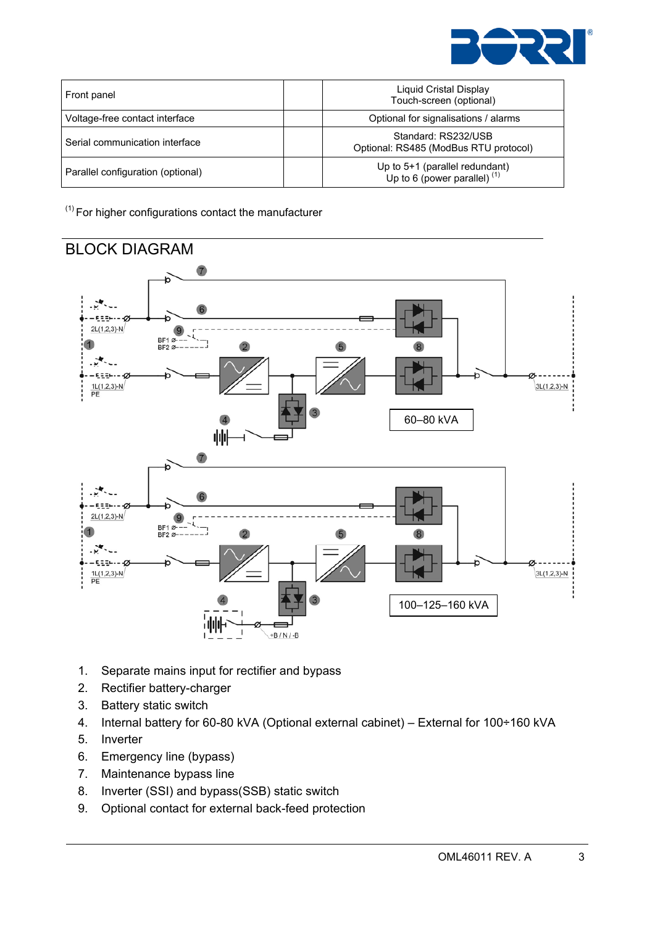

| Front panel                       | Liquid Cristal Display<br>Touch-screen (optional)                |
|-----------------------------------|------------------------------------------------------------------|
| Voltage-free contact interface    | Optional for signalisations / alarms                             |
| Serial communication interface    | Standard: RS232/USB<br>Optional: RS485 (ModBus RTU protocol)     |
| Parallel configuration (optional) | Up to 5+1 (parallel redundant)<br>Up to 6 (power parallel) $(1)$ |

 $(1)$  For higher configurations contact the manufacturer



- 1. Separate mains input for rectifier and bypass
- 2. Rectifier battery-charger
- 3. Battery static switch
- 4. Internal battery for 60-80 kVA (Optional external cabinet) External for 100÷160 kVA
- 5. Inverter
- 6. Emergency line (bypass)
- 7. Maintenance bypass line
- 8. Inverter (SSI) and bypass(SSB) static switch
- 9. Optional contact for external back-feed protection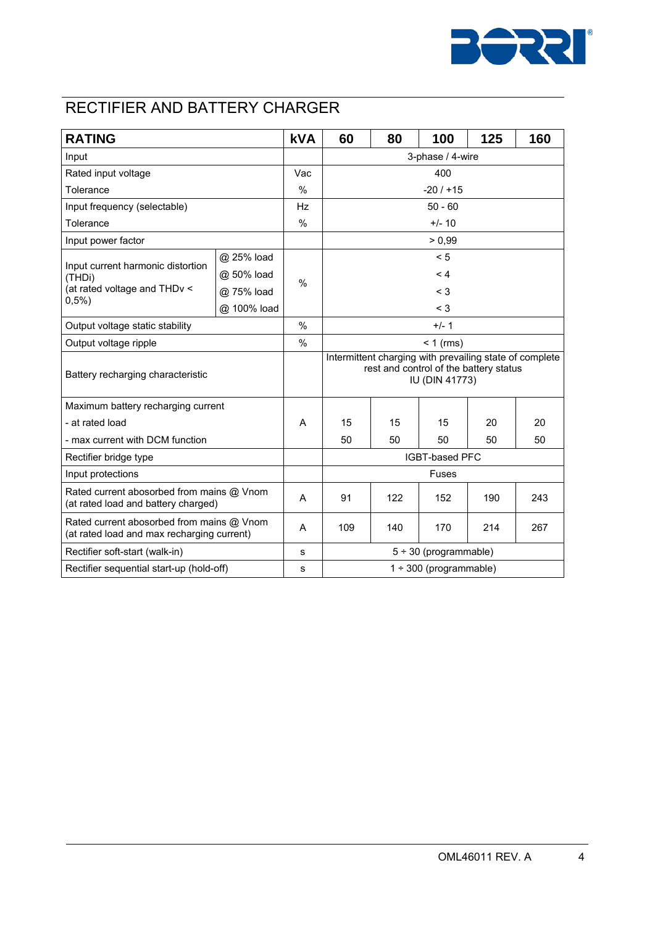

### RECTIFIER AND BATTERY CHARGER

| <b>RATING</b>                                                                           |             | <b>kVA</b>    | 60                                                                                                                  | 80       | 100    | 125 | 160 |  |
|-----------------------------------------------------------------------------------------|-------------|---------------|---------------------------------------------------------------------------------------------------------------------|----------|--------|-----|-----|--|
| Input                                                                                   |             |               | 3-phase / 4-wire                                                                                                    |          |        |     |     |  |
| Rated input voltage                                                                     |             | Vac           | 400                                                                                                                 |          |        |     |     |  |
| Tolerance                                                                               |             | $\frac{0}{0}$ | $-20/115$                                                                                                           |          |        |     |     |  |
| Input frequency (selectable)                                                            |             | Hz            | $50 - 60$                                                                                                           |          |        |     |     |  |
| Tolerance                                                                               |             | %             |                                                                                                                     | $+/- 10$ |        |     |     |  |
| Input power factor                                                                      |             |               |                                                                                                                     |          | > 0,99 |     |     |  |
|                                                                                         | @ 25% load  |               |                                                                                                                     |          | < 5    |     |     |  |
| Input current harmonic distortion<br>(THDi)                                             | @ 50% load  | $\frac{0}{0}$ | < 4                                                                                                                 |          |        |     |     |  |
| (at rated voltage and THDv <                                                            | @ 75% load  |               | $<$ 3                                                                                                               |          |        |     |     |  |
| 0,5%                                                                                    | @ 100% load |               |                                                                                                                     |          | $<$ 3  |     |     |  |
| Output voltage static stability                                                         |             | $\%$          | $+/- 1$                                                                                                             |          |        |     |     |  |
| Output voltage ripple                                                                   |             | $\frac{0}{0}$ | $< 1$ (rms)                                                                                                         |          |        |     |     |  |
| Battery recharging characteristic                                                       |             |               | Intermittent charging with prevailing state of complete<br>rest and control of the battery status<br>IU (DIN 41773) |          |        |     |     |  |
| Maximum battery recharging current                                                      |             |               |                                                                                                                     |          |        |     |     |  |
| - at rated load                                                                         |             | A             | 15                                                                                                                  | 15       | 15     | 20  | 20  |  |
| - max current with DCM function                                                         |             |               | 50                                                                                                                  | 50       | 50     | 50  | 50  |  |
| Rectifier bridge type                                                                   |             |               | IGBT-based PFC                                                                                                      |          |        |     |     |  |
| Input protections                                                                       |             |               | Fuses                                                                                                               |          |        |     |     |  |
| Rated current abosorbed from mains @ Vnom<br>(at rated load and battery charged)        |             | A             | 91                                                                                                                  | 122      | 152    | 190 | 243 |  |
| Rated current abosorbed from mains @ Vnom<br>(at rated load and max recharging current) |             | A             | 109                                                                                                                 | 140      | 170    | 214 | 267 |  |
| Rectifier soft-start (walk-in)                                                          |             | s             | $5 ÷ 30$ (programmable)                                                                                             |          |        |     |     |  |
| Rectifier sequential start-up (hold-off)                                                |             | s             | $1 \div 300$ (programmable)                                                                                         |          |        |     |     |  |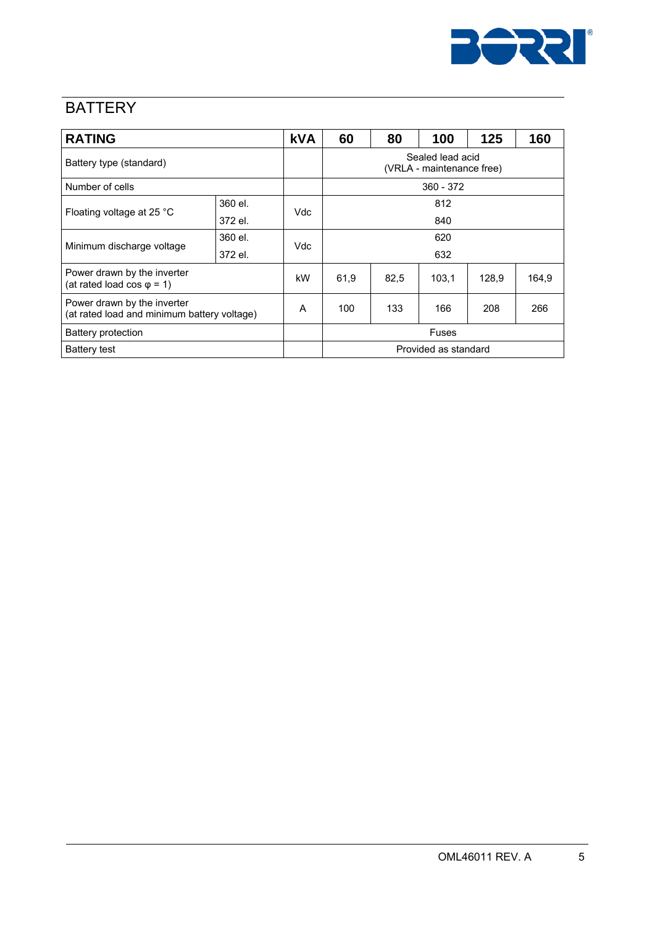

### **BATTERY**

| <b>RATING</b>                                                              |         | <b>kVA</b> | 60                                            | 80   | 100   | 125   | 160   |  |
|----------------------------------------------------------------------------|---------|------------|-----------------------------------------------|------|-------|-------|-------|--|
| Battery type (standard)                                                    |         |            | Sealed lead acid<br>(VRLA - maintenance free) |      |       |       |       |  |
| Number of cells                                                            |         |            | $360 - 372$                                   |      |       |       |       |  |
|                                                                            | 360 el. | Vdc        | 812                                           |      |       |       |       |  |
| Floating voltage at 25 °C                                                  | 372 el. |            | 840                                           |      |       |       |       |  |
| 360 el.                                                                    |         | Vdc        | 620                                           |      |       |       |       |  |
| Minimum discharge voltage                                                  | 372 el. |            | 632                                           |      |       |       |       |  |
| Power drawn by the inverter<br>(at rated load cos $\varphi$ = 1)           |         | kW         | 61,9                                          | 82,5 | 103.1 | 128,9 | 164,9 |  |
| Power drawn by the inverter<br>(at rated load and minimum battery voltage) |         | A          | 100                                           | 133  | 166   | 208   | 266   |  |
| Battery protection                                                         |         |            | <b>Fuses</b>                                  |      |       |       |       |  |
| <b>Battery test</b>                                                        |         |            | Provided as standard                          |      |       |       |       |  |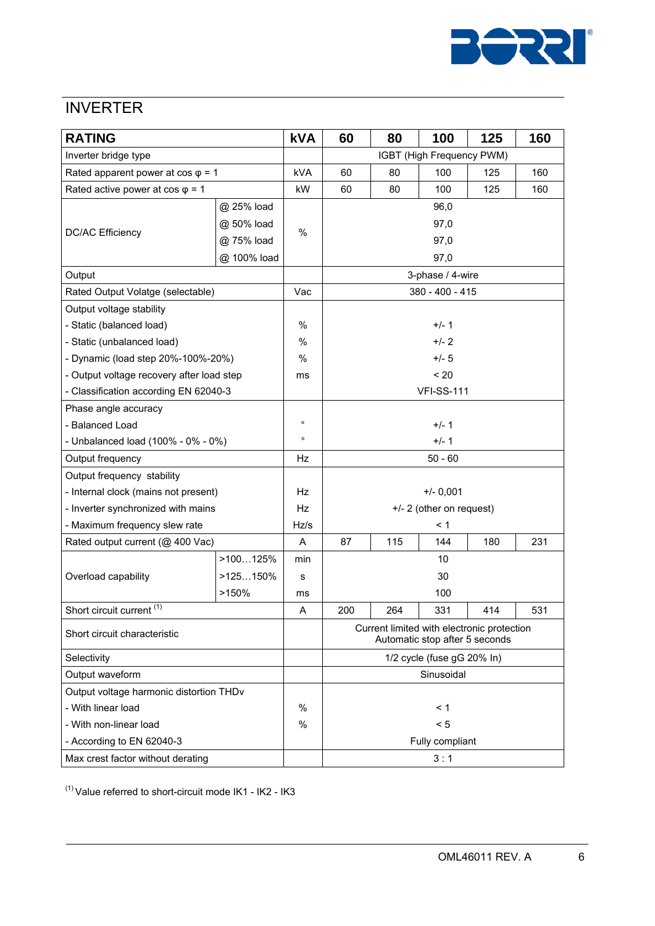

#### **INVERTER**

| <b>RATING</b>                             |             | <b>kVA</b> | 60                                                                           | 80  | 100               | 125 | 160 |  |  |
|-------------------------------------------|-------------|------------|------------------------------------------------------------------------------|-----|-------------------|-----|-----|--|--|
| Inverter bridge type                      |             |            | IGBT (High Frequency PWM)                                                    |     |                   |     |     |  |  |
| Rated apparent power at $cos \varphi = 1$ |             | kVA        | 60                                                                           | 80  | 100               | 125 | 160 |  |  |
| Rated active power at $cos \varphi = 1$   |             | kW         | 60                                                                           | 80  | 100               | 125 | 160 |  |  |
|                                           | @ 25% load  |            |                                                                              |     | 96,0              |     |     |  |  |
|                                           | @ 50% load  |            |                                                                              |     | 97,0              |     |     |  |  |
| <b>DC/AC Efficiency</b>                   | @ 75% load  | $\%$       | 97,0                                                                         |     |                   |     |     |  |  |
|                                           | @ 100% load |            | 97,0                                                                         |     |                   |     |     |  |  |
| Output                                    |             |            | 3-phase / 4-wire                                                             |     |                   |     |     |  |  |
| Rated Output Volatge (selectable)         |             | Vac        |                                                                              |     | 380 - 400 - 415   |     |     |  |  |
| Output voltage stability                  |             |            |                                                                              |     |                   |     |     |  |  |
| - Static (balanced load)                  |             | %          |                                                                              |     | $+/- 1$           |     |     |  |  |
| - Static (unbalanced load)                |             | $\%$       |                                                                              |     | $+/- 2$           |     |     |  |  |
| - Dynamic (load step 20%-100%-20%)        |             | %          |                                                                              |     | $+/- 5$           |     |     |  |  |
| - Output voltage recovery after load step |             | ms         |                                                                              |     | < 20              |     |     |  |  |
| - Classification according EN 62040-3     |             |            |                                                                              |     | <b>VFI-SS-111</b> |     |     |  |  |
| Phase angle accuracy                      |             |            |                                                                              |     |                   |     |     |  |  |
| - Balanced Load                           |             | $\circ$    | $+/- 1$                                                                      |     |                   |     |     |  |  |
| - Unbalanced load (100% - 0% - 0%)        |             | $\circ$    | $+/- 1$                                                                      |     |                   |     |     |  |  |
| Output frequency                          |             | Hz         |                                                                              |     | $50 - 60$         |     |     |  |  |
| Output frequency stability                |             |            |                                                                              |     |                   |     |     |  |  |
| - Internal clock (mains not present)      |             | Hz         |                                                                              |     | $+/- 0,001$       |     |     |  |  |
| - Inverter synchronized with mains        |             | Hz         | +/- 2 (other on request)                                                     |     |                   |     |     |  |  |
| - Maximum frequency slew rate             |             | Hz/s       | $\leq 1$                                                                     |     |                   |     |     |  |  |
| Rated output current (@ 400 Vac)          |             | Α          | 87                                                                           | 115 | 144               | 180 | 231 |  |  |
|                                           | >100125%    | min        |                                                                              |     | 10                |     |     |  |  |
| Overload capability                       | $>125150\%$ | s          | 30                                                                           |     |                   |     |     |  |  |
|                                           | >150%       | ms         | 100                                                                          |     |                   |     |     |  |  |
| Short circuit current <sup>(1)</sup>      |             | Α          | 200                                                                          | 264 | 331               | 414 | 531 |  |  |
| Short circuit characteristic              |             |            | Current limited with electronic protection<br>Automatic stop after 5 seconds |     |                   |     |     |  |  |
| Selectivity                               |             |            | 1/2 cycle (fuse gG 20% In)                                                   |     |                   |     |     |  |  |
| Output waveform                           |             |            | Sinusoidal                                                                   |     |                   |     |     |  |  |
| Output voltage harmonic distortion THDv   |             |            |                                                                              |     |                   |     |     |  |  |
| - With linear load                        |             | $\%$       | < 1                                                                          |     |                   |     |     |  |  |
| - With non-linear load                    |             | %          | < 5                                                                          |     |                   |     |     |  |  |
| - According to EN 62040-3                 |             |            | Fully compliant                                                              |     |                   |     |     |  |  |
| Max crest factor without derating         |             |            |                                                                              |     | 3:1               |     |     |  |  |

 $(1)$  Value referred to short-circuit mode IK1 - IK2 - IK3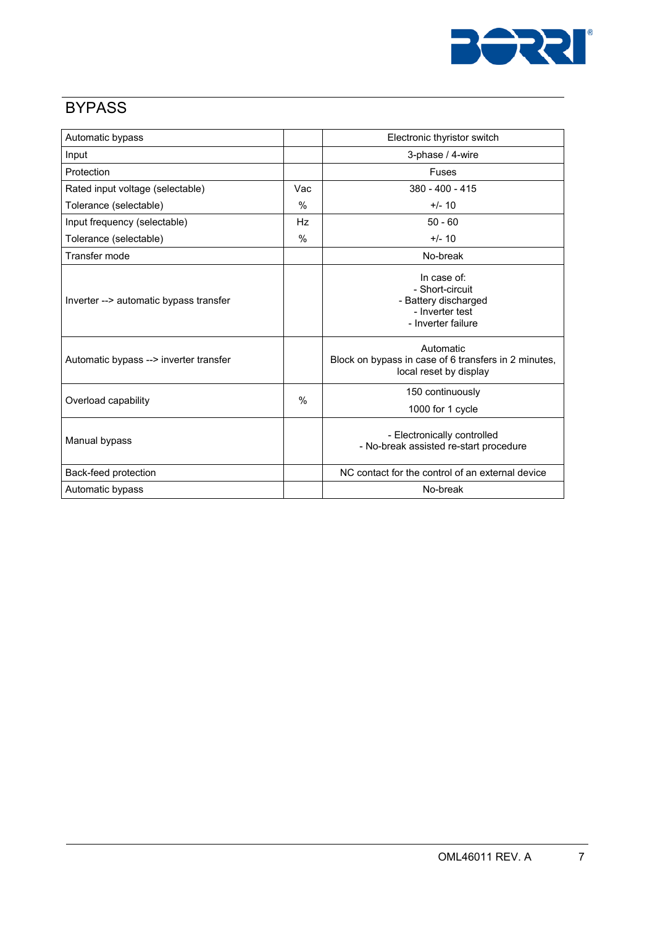

#### **BYPASS**

| Automatic bypass                       |               | Electronic thyristor switch                                                                     |
|----------------------------------------|---------------|-------------------------------------------------------------------------------------------------|
| Input                                  |               | 3-phase / 4-wire                                                                                |
| Protection                             |               | Fuses                                                                                           |
| Rated input voltage (selectable)       | Vac           | $380 - 400 - 415$                                                                               |
| Tolerance (selectable)                 | $\frac{0}{0}$ | $+/- 10$                                                                                        |
| Input frequency (selectable)           | Hz            | $50 - 60$                                                                                       |
| Tolerance (selectable)                 | $\frac{0}{0}$ | $+/- 10$                                                                                        |
| Transfer mode                          |               | No-break                                                                                        |
| Inverter --> automatic bypass transfer |               | In case of:<br>- Short-circuit<br>- Battery discharged<br>- Inverter test<br>- Inverter failure |
| Automatic bypass --> inverter transfer |               | Automatic<br>Block on bypass in case of 6 transfers in 2 minutes,<br>local reset by display     |
| Overload capability                    | $\frac{0}{0}$ | 150 continuously<br>1000 for 1 cycle                                                            |
| Manual bypass                          |               | - Electronically controlled<br>- No-break assisted re-start procedure                           |
| Back-feed protection                   |               | NC contact for the control of an external device                                                |
| Automatic bypass                       |               | No-break                                                                                        |